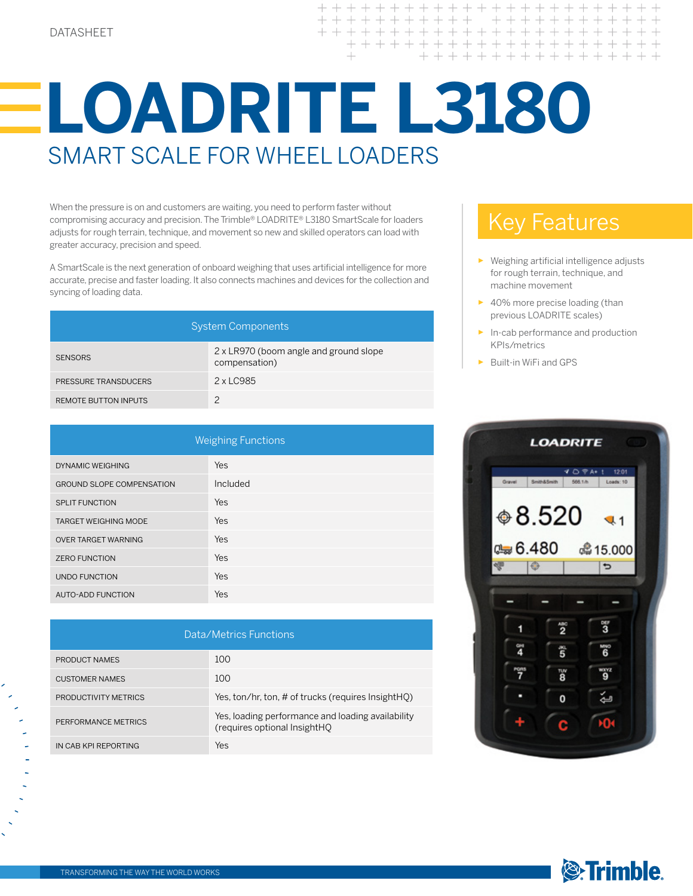$+ + + +$  $+ + + + +$  $+ + + + +$  $+$ + + + + + + +

## **LOADRITE L3180**  SMART SCALE FOR WHEEL LOADERS

When the pressure is on and customers are waiting, you need to perform faster without compromising accuracy and precision. The Trimble® LOADRITE® L3180 SmartScale for loaders adjusts for rough terrain, technique, and movement so new and skilled operators can load with greater accuracy, precision and speed.

A SmartScale is the next generation of onboard weighing that uses artificial intelligence for more accurate, precise and faster loading. It also connects machines and devices for the collection and syncing of loading data.

| <b>System Components</b>    |                                                         |
|-----------------------------|---------------------------------------------------------|
| <b>SENSORS</b>              | 2 x LR970 (boom angle and ground slope<br>compensation) |
| <b>PRESSURE TRANSDUCERS</b> | $2 \times$ LC985                                        |
| <b>REMOTE BUTTON INPUTS</b> |                                                         |

| <b>Weighing Functions</b>        |          |
|----------------------------------|----------|
| DYNAMIC WEIGHING                 | Yes      |
| <b>GROUND SLOPE COMPENSATION</b> | Included |
| <b>SPLIT FUNCTION</b>            | Yes      |
| <b>TARGET WEIGHING MODE</b>      | Yes      |
| <b>OVER TARGET WARNING</b>       | Yes      |
| <b>ZERO FUNCTION</b>             | Yes      |
| <b>UNDO FUNCTION</b>             | Yes      |
| <b>AUTO-ADD FUNCTION</b>         | Yes      |

| Data/Metrics Functions      |                                                                                   |
|-----------------------------|-----------------------------------------------------------------------------------|
| PRODUCT NAMES               | 100                                                                               |
| <b>CUSTOMER NAMES</b>       | 100                                                                               |
| <b>PRODUCTIVITY METRICS</b> | Yes, ton/hr, ton, # of trucks (requires InsightHQ)                                |
| PERFORMANCE METRICS         | Yes, loading performance and loading availability<br>(requires optional InsightHO |
| IN CAR KPI REPORTING        | Yes                                                                               |

## Key Features

- ► Weighing artificial intelligence adjusts for rough terrain, technique, and machine movement
- ► 40% more precise loading (than previous LOADRITE scales)
- ► In-cab performance and production KPIs/metrics
- Built-in WiFi and GPS